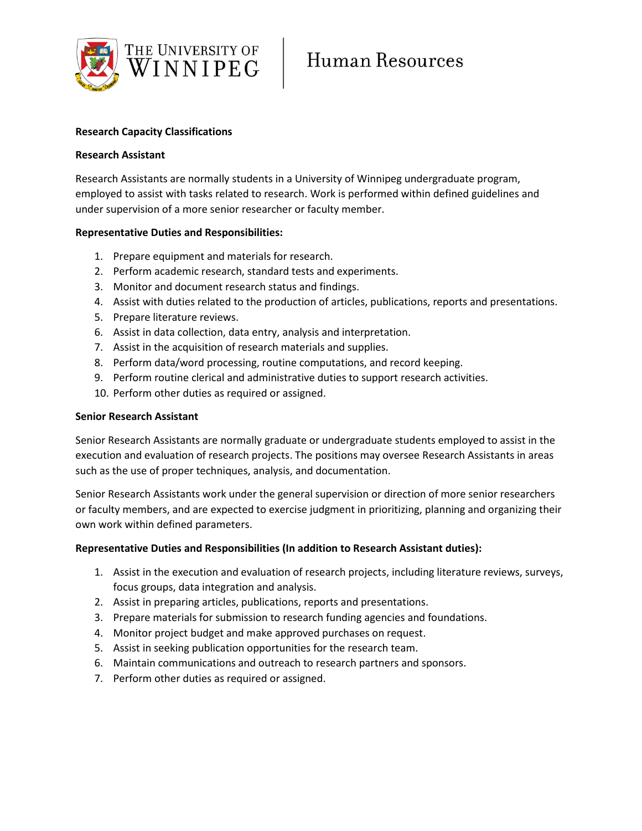



# **Research Capacity Classifications**

# **Research Assistant**

Research Assistants are normally students in a University of Winnipeg undergraduate program, employed to assist with tasks related to research. Work is performed within defined guidelines and under supervision of a more senior researcher or faculty member.

# **Representative Duties and Responsibilities:**

- 1. Prepare equipment and materials for research.
- 2. Perform academic research, standard tests and experiments.
- 3. Monitor and document research status and findings.
- 4. Assist with duties related to the production of articles, publications, reports and presentations.
- 5. Prepare literature reviews.
- 6. Assist in data collection, data entry, analysis and interpretation.
- 7. Assist in the acquisition of research materials and supplies.
- 8. Perform data/word processing, routine computations, and record keeping.
- 9. Perform routine clerical and administrative duties to support research activities.
- 10. Perform other duties as required or assigned.

# **Senior Research Assistant**

Senior Research Assistants are normally graduate or undergraduate students employed to assist in the execution and evaluation of research projects. The positions may oversee Research Assistants in areas such as the use of proper techniques, analysis, and documentation.

Senior Research Assistants work under the general supervision or direction of more senior researchers or faculty members, and are expected to exercise judgment in prioritizing, planning and organizing their own work within defined parameters.

# **Representative Duties and Responsibilities (In addition to Research Assistant duties):**

- 1. Assist in the execution and evaluation of research projects, including literature reviews, surveys, focus groups, data integration and analysis.
- 2. Assist in preparing articles, publications, reports and presentations.
- 3. Prepare materials for submission to research funding agencies and foundations.
- 4. Monitor project budget and make approved purchases on request.
- 5. Assist in seeking publication opportunities for the research team.
- 6. Maintain communications and outreach to research partners and sponsors.
- 7. Perform other duties as required or assigned.